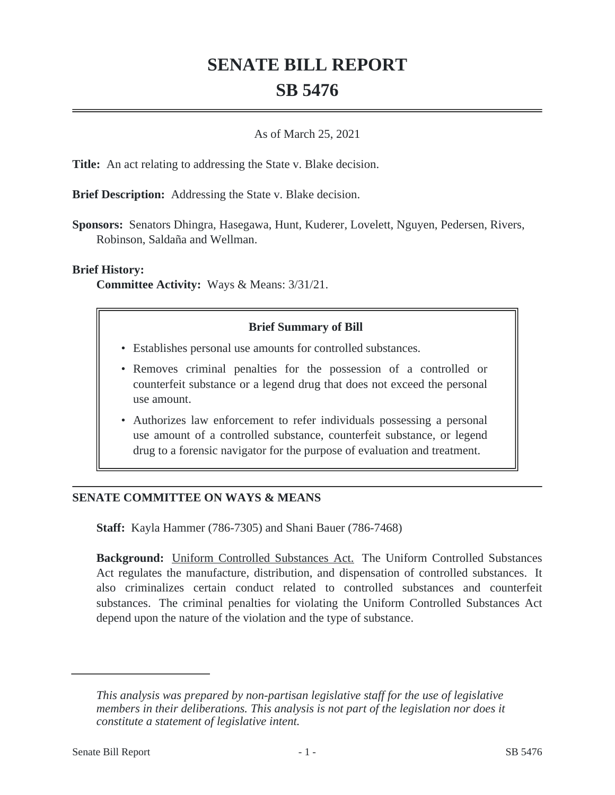# **SENATE BILL REPORT SB 5476**

#### As of March 25, 2021

**Title:** An act relating to addressing the State v. Blake decision.

**Brief Description:** Addressing the State v. Blake decision.

**Sponsors:** Senators Dhingra, Hasegawa, Hunt, Kuderer, Lovelett, Nguyen, Pedersen, Rivers, Robinson, Saldaña and Wellman.

### **Brief History:**

**Committee Activity:** Ways & Means: 3/31/21.

## **Brief Summary of Bill**

- Establishes personal use amounts for controlled substances.
- Removes criminal penalties for the possession of a controlled or counterfeit substance or a legend drug that does not exceed the personal use amount.
- Authorizes law enforcement to refer individuals possessing a personal use amount of a controlled substance, counterfeit substance, or legend drug to a forensic navigator for the purpose of evaluation and treatment.

## **SENATE COMMITTEE ON WAYS & MEANS**

**Staff:** Kayla Hammer (786-7305) and Shani Bauer (786-7468)

**Background:** Uniform Controlled Substances Act. The Uniform Controlled Substances Act regulates the manufacture, distribution, and dispensation of controlled substances. It also criminalizes certain conduct related to controlled substances and counterfeit substances. The criminal penalties for violating the Uniform Controlled Substances Act depend upon the nature of the violation and the type of substance.

*This analysis was prepared by non-partisan legislative staff for the use of legislative members in their deliberations. This analysis is not part of the legislation nor does it constitute a statement of legislative intent.*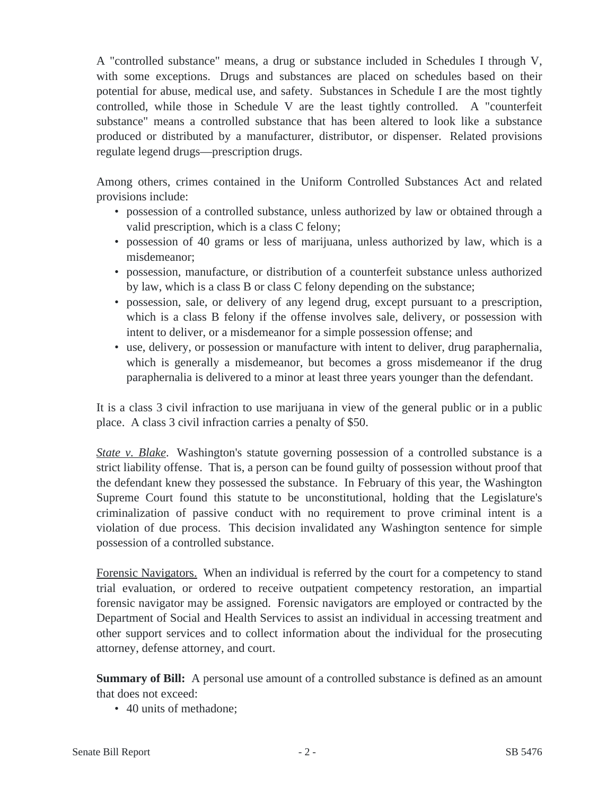A "controlled substance" means, a drug or substance included in Schedules I through V, with some exceptions. Drugs and substances are placed on schedules based on their potential for abuse, medical use, and safety. Substances in Schedule I are the most tightly controlled, while those in Schedule V are the least tightly controlled. A "counterfeit substance" means a controlled substance that has been altered to look like a substance produced or distributed by a manufacturer, distributor, or dispenser. Related provisions regulate legend drugs—prescription drugs.

Among others, crimes contained in the Uniform Controlled Substances Act and related provisions include:

- possession of a controlled substance, unless authorized by law or obtained through a valid prescription, which is a class C felony;
- possession of 40 grams or less of marijuana, unless authorized by law, which is a misdemeanor;
- possession, manufacture, or distribution of a counterfeit substance unless authorized by law, which is a class B or class C felony depending on the substance;
- possession, sale, or delivery of any legend drug, except pursuant to a prescription, which is a class B felony if the offense involves sale, delivery, or possession with intent to deliver, or a misdemeanor for a simple possession offense; and
- use, delivery, or possession or manufacture with intent to deliver, drug paraphernalia, which is generally a misdemeanor, but becomes a gross misdemeanor if the drug paraphernalia is delivered to a minor at least three years younger than the defendant.

It is a class 3 civil infraction to use marijuana in view of the general public or in a public place. A class 3 civil infraction carries a penalty of \$50.

*State v. Blake*. Washington's statute governing possession of a controlled substance is a strict liability offense. That is, a person can be found guilty of possession without proof that the defendant knew they possessed the substance. In February of this year, the Washington Supreme Court found this statute to be unconstitutional, holding that the Legislature's criminalization of passive conduct with no requirement to prove criminal intent is a violation of due process. This decision invalidated any Washington sentence for simple possession of a controlled substance.

Forensic Navigators. When an individual is referred by the court for a competency to stand trial evaluation, or ordered to receive outpatient competency restoration, an impartial forensic navigator may be assigned. Forensic navigators are employed or contracted by the Department of Social and Health Services to assist an individual in accessing treatment and other support services and to collect information about the individual for the prosecuting attorney, defense attorney, and court.

**Summary of Bill:** A personal use amount of a controlled substance is defined as an amount that does not exceed:

• 40 units of methadone: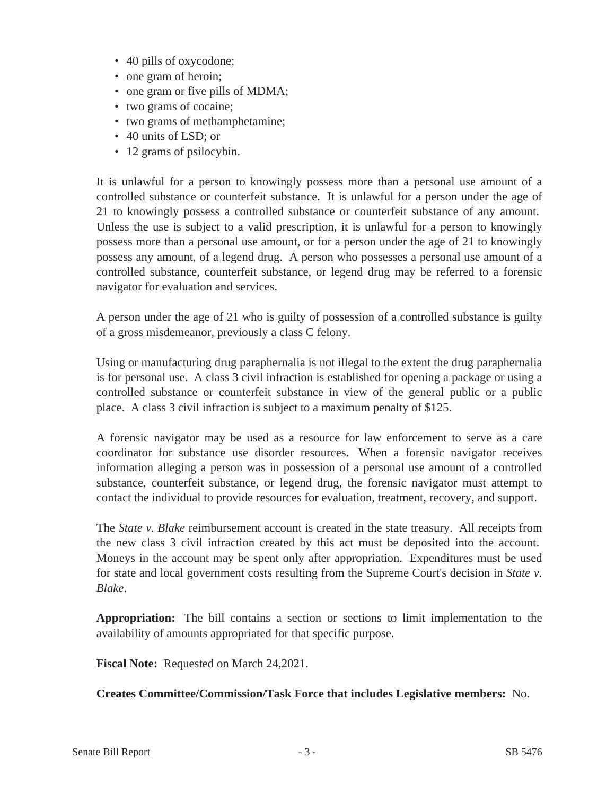- 40 pills of oxycodone;
- one gram of heroin;
- one gram or five pills of MDMA;
- two grams of cocaine;
- two grams of methamphetamine;
- 40 units of LSD; or
- 12 grams of psilocybin.

It is unlawful for a person to knowingly possess more than a personal use amount of a controlled substance or counterfeit substance. It is unlawful for a person under the age of 21 to knowingly possess a controlled substance or counterfeit substance of any amount. Unless the use is subject to a valid prescription, it is unlawful for a person to knowingly possess more than a personal use amount, or for a person under the age of 21 to knowingly possess any amount, of a legend drug. A person who possesses a personal use amount of a controlled substance, counterfeit substance, or legend drug may be referred to a forensic navigator for evaluation and services.

A person under the age of 21 who is guilty of possession of a controlled substance is guilty of a gross misdemeanor, previously a class C felony.

Using or manufacturing drug paraphernalia is not illegal to the extent the drug paraphernalia is for personal use. A class 3 civil infraction is established for opening a package or using a controlled substance or counterfeit substance in view of the general public or a public place. A class 3 civil infraction is subject to a maximum penalty of \$125.

A forensic navigator may be used as a resource for law enforcement to serve as a care coordinator for substance use disorder resources. When a forensic navigator receives information alleging a person was in possession of a personal use amount of a controlled substance, counterfeit substance, or legend drug, the forensic navigator must attempt to contact the individual to provide resources for evaluation, treatment, recovery, and support.

The *State v. Blake* reimbursement account is created in the state treasury. All receipts from the new class 3 civil infraction created by this act must be deposited into the account. Moneys in the account may be spent only after appropriation. Expenditures must be used for state and local government costs resulting from the Supreme Court's decision in *State v. Blake*.

**Appropriation:** The bill contains a section or sections to limit implementation to the availability of amounts appropriated for that specific purpose.

**Fiscal Note:** Requested on March 24,2021.

**Creates Committee/Commission/Task Force that includes Legislative members:** No.